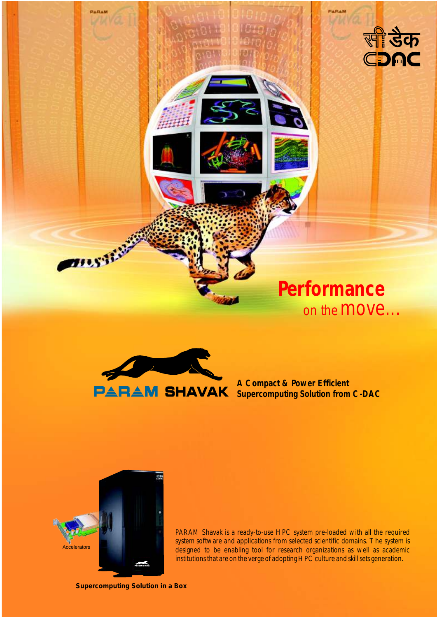

# **Performance** on the **MOVe...**



**A Compact & Power Efficient Supercomputing Solution from C-DAC**



**THEFTER** 

PARAM Shavak is a ready-to-use HPC system pre-loaded with all the required system software and applications from selected scientific domains. The system is designed to be enabling tool for research organizations as well as academic institutions that are on the verge of adopting HPC culture and skill sets generation.

**Supercomputing Solution in a Box**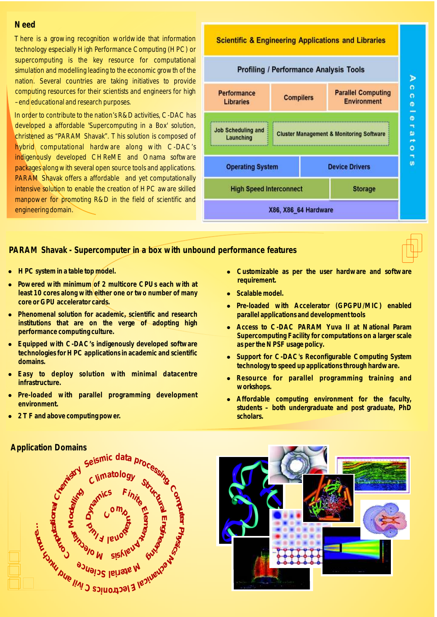#### **Need**

There is a growing recognition worldwide that information technology especially High Performance Computing (HPC) or supercomputing is the key resource for computational simulation and modelling leading to the economic growth of the nation. Several countries are taking initiatives to provide computing resources for their scientists and engineers for high –end educational and research purposes.

In order to contribute to the nation's R&D activities, C-DAC has developed a affordable 'Supercomputing in a Box' solution, christened as "PARAM Shavak". This solution is composed of hybrid computational hardware along with C-DAC's indigenously developed CHReME and Onama software packages along with several open source tools and applications. PARAM Shavak offers a affordable and yet computationally intensive solution to enable the creation of HPC aware skilled manpower for promoting R&D in the field of scientific and engineering domain.

## **PARAM Shavak - Supercomputer in a box with unbound performance features**

- **HPC system in a table top model.**
- HPC system in a table top model.<br>• Powered with minimum of 2 multicore CPUs each with at **least 10 cores along with either one or two number of many core or GPU accelerator cards.**
- **•** Phenomenal solution for academic, scientific and research **institutions that are on the verge of adopting high performance computing culture.**
- **•** Equipped with C-DAC's indigenously developed software **technologies for HPC applications in academic and scientific domains.**
- l **Easy to deploy solution with minimal datacentre infrastructure.**
- l **Pre-loaded with parallel programming development environment.**
- l **2 TF and above computing power.**



#### • Customizable as per the user hardware and software **requirement.**

- **Scalable model.**
- **•** Scalable model.<br>• Pre-loaded with Accelerator (GPGPU/MIC) enabled **parallel applications and development tools**
- **•** Access to C-DAC PARAM Yuva II at National Param **Supercomputing Facility for computations on a larger scale as per the NPSF usage policy.**
- Support for C-DAC's Reconfigurable Computing System **technology to speed up applications through hardware.**
- l **Resource for parallel programming training and workshops.**
- l **Affordable computing environment for the faculty, students – both undergraduate and post graduate, PhD scholars.**



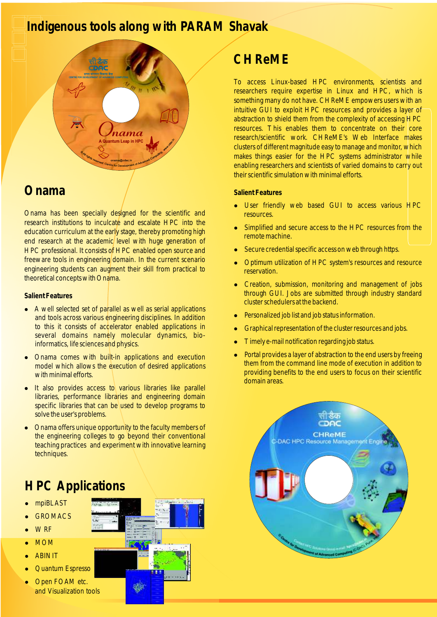## **Indigenous tools along with PARAM Shavak**



## **Onama**

Onama has been specially designed for the scientific and research institutions to inculcate and escalate HPC into the education curriculum at the early stage, thereby promoting high end research at the academic level with huge generation of HPC professional. It consists of HPC enabled open source and freeware tools in engineering domain. In the current scenario engineering students can augment their skill from practical to theoretical concepts with Onama.

#### **Salient Features**

- A well selected set of parallel as well as serial applications and tools across various engineering disciplines. In addition to this it consists of accelerator enabled applications in several domains namely molecular dynamics, bioinformatics, life sciences and physics.
- <sup>l</sup>Onama comes with built-in applications and execution model which allows the execution of desired applications with minimal efforts.
- It also provides access to various libraries like parallel libraries, performance libraries and engineering domain specific libraries that can be used to develop programs to solve the user's problems.
- lOnama offers unique opportunity to the faculty members of the engineering colleges to go beyond their conventional teaching practices and experiment with innovative learning techniques.

## **HPC Applications**

- mpiBLAST
- **GROMACS**
- **WRF**
- <sup>l</sup>MOM
- **ABINIT**
- Quantum Espresso
- Open FOAM etc. and Visualization tools

## **CHReME**

To access Linux-based HPC environments, scientists and researchers require expertise in Linux and HPC, which is something many do not have. CHReME empowers users with an intuitive GUI to exploit HPC resources and provides a layer of abstraction to shield them from the complexity of accessing HPC resources. This enables them to concentrate on their core research/scientific work. CHReME's Web Interface makes clusters of different magnitude easy to manage and monitor, which makes things easier for the HPC systems administrator while enabling researchers and scientists of varied domains to carry out their scientific simulation with minimal efforts.

### **Salient Features**

- User friendly web based GUI to access various HPC resources.
- Simplified and secure access to the HPC resources from the remote machine.
- Secure credential specific access on web through https.
- <sup>l</sup>Optimum utilization of HPC system's resources and resource reservation.
- Creation, submission, monitoring and management of jobs through GUI. Jobs are submitted through industry standard cluster schedulers at the backend.
- Personalized job list and job status information.
- <sup>l</sup>Graphical representation of the cluster resources and jobs.
- <sup>l</sup>Timely e-mail notification regarding job status.
- Portal provides a layer of abstraction to the end users by freeing them from the command line mode of execution in addition to providing benefits to the end users to focus on their scientific domain areas.